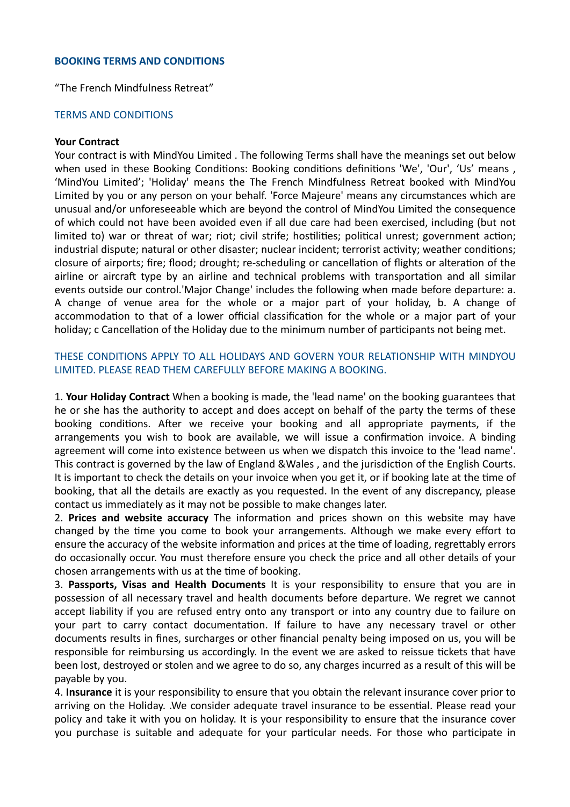## **BOOKING TERMS AND CONDITIONS**

"The French Mindfulness Retreat"

## **TERMS AND CONDITIONS**

## **Your Contract**

Your contract is with MindYou Limited . The following Terms shall have the meanings set out below when used in these Booking Conditions: Booking conditions definitions 'We', 'Our', 'Us' means, 'MindYou Limited'; 'Holiday' means the The French Mindfulness Retreat booked with MindYou Limited by you or any person on your behalf. 'Force Majeure' means any circumstances which are unusual and/or unforeseeable which are beyond the control of MindYou Limited the consequence of which could not have been avoided even if all due care had been exercised, including (but not limited to) war or threat of war; riot; civil strife; hostilities; political unrest; government action; industrial dispute; natural or other disaster; nuclear incident; terrorist activity; weather conditions; closure of airports; fire; flood; drought; re-scheduling or cancellation of flights or alteration of the airline or aircraft type by an airline and technical problems with transportation and all similar events outside our control.'Major Change' includes the following when made before departure: a. A change of venue area for the whole or a major part of your holiday, b. A change of accommodation to that of a lower official classification for the whole or a major part of your holiday; c Cancellation of the Holiday due to the minimum number of participants not being met.

THESE CONDITIONS APPLY TO ALL HOLIDAYS AND GOVERN YOUR RELATIONSHIP WITH MINDYOU LIMITED. PLEASE READ THEM CAREFULLY BEFORE MAKING A BOOKING.

1. **Your Holiday Contract** When a booking is made, the 'lead name' on the booking guarantees that he or she has the authority to accept and does accept on behalf of the party the terms of these booking conditions. After we receive your booking and all appropriate payments, if the arrangements you wish to book are available, we will issue a confirmation invoice. A binding agreement will come into existence between us when we dispatch this invoice to the 'lead name'. This contract is governed by the law of England &Wales, and the jurisdiction of the English Courts. It is important to check the details on your invoice when you get it, or if booking late at the time of booking, that all the details are exactly as you requested. In the event of any discrepancy, please contact us immediately as it may not be possible to make changes later.

2. **Prices and website accuracy** The information and prices shown on this website may have changed by the time you come to book your arrangements. Although we make every effort to ensure the accuracy of the website information and prices at the time of loading, regrettably errors do occasionally occur. You must therefore ensure you check the price and all other details of your chosen arrangements with us at the time of booking.

3. Passports, Visas and Health Documents It is your responsibility to ensure that you are in possession of all necessary travel and health documents before departure. We regret we cannot accept liability if you are refused entry onto any transport or into any country due to failure on your part to carry contact documentation. If failure to have any necessary travel or other documents results in fines, surcharges or other financial penalty being imposed on us, you will be responsible for reimbursing us accordingly. In the event we are asked to reissue tickets that have been lost, destroyed or stolen and we agree to do so, any charges incurred as a result of this will be payable by you.

4. **Insurance** it is your responsibility to ensure that you obtain the relevant insurance cover prior to arriving on the Holiday. We consider adequate travel insurance to be essential. Please read your policy and take it with you on holiday. It is your responsibility to ensure that the insurance cover you purchase is suitable and adequate for your particular needs. For those who participate in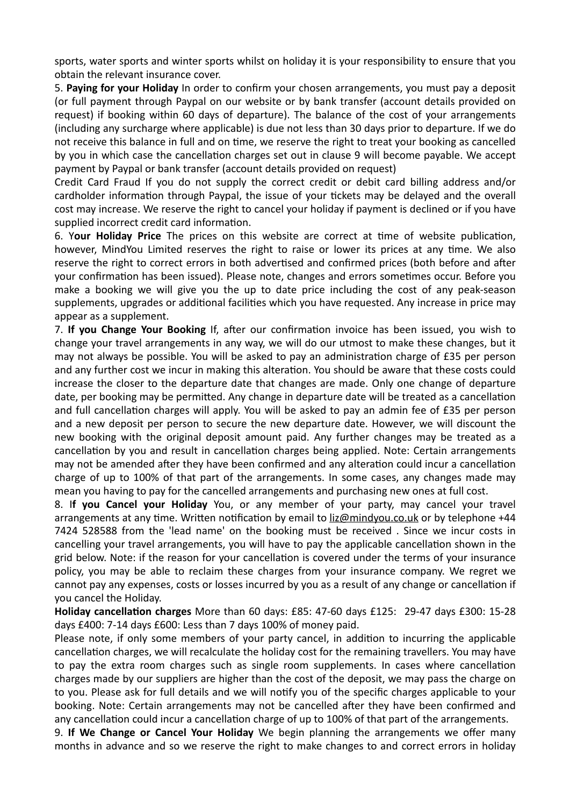sports, water sports and winter sports whilst on holiday it is your responsibility to ensure that you obtain the relevant insurance cover.

5. Paying for your Holiday In order to confirm your chosen arrangements, you must pay a deposit (or full payment through Paypal on our website or by bank transfer (account details provided on request) if booking within 60 days of departure). The balance of the cost of your arrangements (including any surcharge where applicable) is due not less than 30 days prior to departure. If we do not receive this balance in full and on time, we reserve the right to treat your booking as cancelled by you in which case the cancellation charges set out in clause 9 will become payable. We accept payment by Paypal or bank transfer (account details provided on request)

Credit Card Fraud If you do not supply the correct credit or debit card billing address and/or cardholder information through Paypal, the issue of your tickets may be delayed and the overall cost may increase. We reserve the right to cancel your holiday if payment is declined or if you have supplied incorrect credit card information.

6. Your Holiday Price The prices on this website are correct at time of website publication, however, MindYou Limited reserves the right to raise or lower its prices at any time. We also reserve the right to correct errors in both advertised and confirmed prices (both before and after your confirmation has been issued). Please note, changes and errors sometimes occur. Before you make a booking we will give you the up to date price including the cost of any peak-season supplements, upgrades or additional facilities which you have requested. Any increase in price may appear as a supplement.

7. If you Change Your Booking If, after our confirmation invoice has been issued, you wish to change your travel arrangements in any way, we will do our utmost to make these changes, but it may not always be possible. You will be asked to pay an administration charge of £35 per person and any further cost we incur in making this alteration. You should be aware that these costs could increase the closer to the departure date that changes are made. Only one change of departure date, per booking may be permitted. Any change in departure date will be treated as a cancellation and full cancellation charges will apply. You will be asked to pay an admin fee of £35 per person and a new deposit per person to secure the new departure date. However, we will discount the new booking with the original deposit amount paid. Any further changes may be treated as a cancellation by you and result in cancellation charges being applied. Note: Certain arrangements may not be amended after they have been confirmed and any alteration could incur a cancellation charge of up to 100% of that part of the arrangements. In some cases, any changes made may mean you having to pay for the cancelled arrangements and purchasing new ones at full cost.

8. If you Cancel your Holiday You, or any member of your party, may cancel your travel arrangements at any time. Written notification by email to  $liz@mindyou.co.uk$  or by telephone  $+44$ 7424 528588 from the 'lead name' on the booking must be received . Since we incur costs in cancelling your travel arrangements, you will have to pay the applicable cancellation shown in the grid below. Note: if the reason for your cancellation is covered under the terms of your insurance policy, you may be able to reclaim these charges from your insurance company. We regret we cannot pay any expenses, costs or losses incurred by you as a result of any change or cancellation if you cancel the Holiday.

**Holiday cancellation charges** More than 60 days: £85: 47-60 days £125: 29-47 days £300: 15-28 days £400: 7-14 days £600: Less than 7 days 100% of money paid.

Please note, if only some members of your party cancel, in addition to incurring the applicable cancellation charges, we will recalculate the holiday cost for the remaining travellers. You may have to pay the extra room charges such as single room supplements. In cases where cancellation charges made by our suppliers are higher than the cost of the deposit, we may pass the charge on to you. Please ask for full details and we will notify you of the specific charges applicable to your booking. Note: Certain arrangements may not be cancelled after they have been confirmed and any cancellation could incur a cancellation charge of up to 100% of that part of the arrangements.

9. If We Change or Cancel Your Holiday We begin planning the arrangements we offer many months in advance and so we reserve the right to make changes to and correct errors in holiday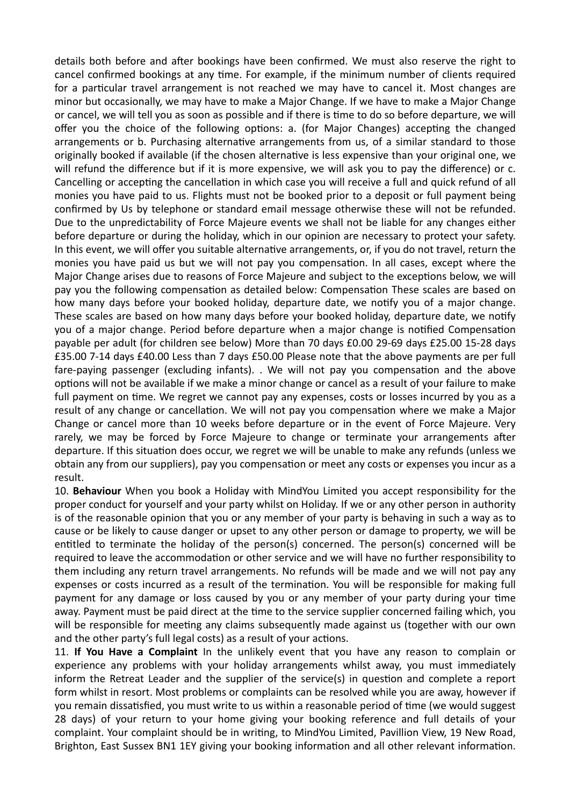details both before and after bookings have been confirmed. We must also reserve the right to cancel confirmed bookings at any time. For example, if the minimum number of clients required for a particular travel arrangement is not reached we may have to cancel it. Most changes are minor but occasionally, we may have to make a Major Change. If we have to make a Major Change or cancel, we will tell you as soon as possible and if there is time to do so before departure, we will offer you the choice of the following options: a. (for Major Changes) accepting the changed arrangements or b. Purchasing alternative arrangements from us, of a similar standard to those originally booked if available (if the chosen alternative is less expensive than your original one, we will refund the difference but if it is more expensive, we will ask you to pay the difference) or c. Cancelling or accepting the cancellation in which case you will receive a full and quick refund of all monies you have paid to us. Flights must not be booked prior to a deposit or full payment being confirmed by Us by telephone or standard email message otherwise these will not be refunded. Due to the unpredictability of Force Majeure events we shall not be liable for any changes either before departure or during the holiday, which in our opinion are necessary to protect your safety. In this event, we will offer you suitable alternative arrangements, or, if you do not travel, return the monies you have paid us but we will not pay you compensation. In all cases, except where the Major Change arises due to reasons of Force Majeure and subject to the exceptions below, we will pay you the following compensation as detailed below: Compensation These scales are based on how many days before your booked holiday, departure date, we notify you of a major change. These scales are based on how many days before your booked holiday, departure date, we notify you of a major change. Period before departure when a major change is notified Compensation payable per adult (for children see below) More than 70 days £0.00 29-69 days £25.00 15-28 days £35.00 7-14 days £40.00 Less than 7 days £50.00 Please note that the above payments are per full fare-paying passenger (excluding infants). . We will not pay you compensation and the above options will not be available if we make a minor change or cancel as a result of your failure to make full payment on time. We regret we cannot pay any expenses, costs or losses incurred by you as a result of any change or cancellation. We will not pay you compensation where we make a Major Change or cancel more than 10 weeks before departure or in the event of Force Majeure. Very rarely, we may be forced by Force Majeure to change or terminate your arrangements after departure. If this situation does occur, we regret we will be unable to make any refunds (unless we obtain any from our suppliers), pay you compensation or meet any costs or expenses you incur as a result. 

10. **Behaviour** When you book a Holiday with MindYou Limited you accept responsibility for the proper conduct for yourself and your party whilst on Holiday. If we or any other person in authority is of the reasonable opinion that you or any member of your party is behaving in such a way as to cause or be likely to cause danger or upset to any other person or damage to property, we will be entitled to terminate the holiday of the person(s) concerned. The person(s) concerned will be required to leave the accommodation or other service and we will have no further responsibility to them including any return travel arrangements. No refunds will be made and we will not pay any expenses or costs incurred as a result of the termination. You will be responsible for making full payment for any damage or loss caused by you or any member of your party during your time away. Payment must be paid direct at the time to the service supplier concerned failing which, you will be responsible for meeting any claims subsequently made against us (together with our own and the other party's full legal costs) as a result of your actions.

11. If You Have a Complaint In the unlikely event that you have any reason to complain or experience any problems with your holiday arrangements whilst away, you must immediately inform the Retreat Leader and the supplier of the service(s) in question and complete a report form whilst in resort. Most problems or complaints can be resolved while you are away, however if you remain dissatisfied, you must write to us within a reasonable period of time (we would suggest 28 days) of your return to your home giving your booking reference and full details of your complaint. Your complaint should be in writing, to MindYou Limited, Pavillion View, 19 New Road, Brighton, East Sussex BN1 1EY giving your booking information and all other relevant information.